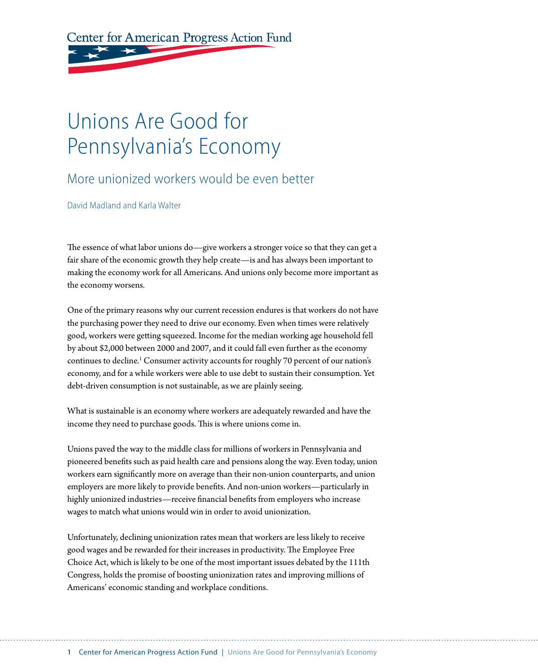Center for American Progress Action Fund

# Unions Are Good for Pennsylvania's Economy

### More unionized workers would be even better

David Madland and Karla Walter

The essence of what labor unions do—give workers a stronger voice so that they can get a fair share of the economic growth they help create—is and has always been important to making the economy work for all Americans. And unions only become more important as the economy worsens.

One of the primary reasons why our current recession endures is that workers do not have the purchasing power they need to drive our economy. Even when times were relatively good, workers were getting squeezed. Income for the median working age household fell by about \$2,000 between 2000 and 2007, and it could fall even further as the economy continues to decline.<sup>1</sup> Consumer activity accounts for roughly 70 percent of our nation's economy, and for a while workers were able to use debt to sustain their consumption. Yet debt-driven consumption is not sustainable, as we are plainly seeing.

What is sustainable is an economy where workers are adequately rewarded and have the income they need to purchase goods. This is where unions come in.

Unions paved the way to the middle class for millions of workers in Pennsylvania and pioneered benefits such as paid health care and pensions along the way. Even today, union workers earn significantly more on average than their non-union counterparts, and union employers are more likely to provide benefits. And non-union workers—particularly in highly unionized industries—receive financial benefits from employers who increase wages to match what unions would win in order to avoid unionization.

Unfortunately, declining unionization rates mean that workers are less likely to receive good wages and be rewarded for their increases in productivity. The Employee Free Choice Act, which is likely to be one of the most important issues debated by the 111th Congress, holds the promise of boosting unionization rates and improving millions of Americans' economic standing and workplace conditions.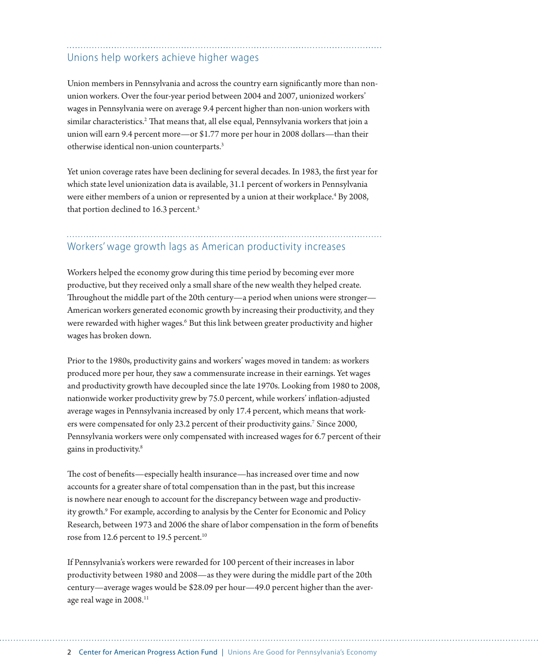#### Unions help workers achieve higher wages

Union members in Pennsylvania and across the country earn significantly more than nonunion workers. Over the four-year period between 2004 and 2007, unionized workers' wages in Pennsylvania were on average 9.4 percent higher than non-union workers with similar characteristics.<sup>2</sup> That means that, all else equal, Pennsylvania workers that join a union will earn 9.4 percent more—or \$1.77 more per hour in 2008 dollars—than their otherwise identical non-union counterparts.3

Yet union coverage rates have been declining for several decades. In 1983, the first year for which state level unionization data is available, 31.1 percent of workers in Pennsylvania were either members of a union or represented by a union at their workplace.<sup>4</sup> By 2008, that portion declined to 16.3 percent.<sup>5</sup>

### Workers' wage growth lags as American productivity increases

Workers helped the economy grow during this time period by becoming ever more productive, but they received only a small share of the new wealth they helped create. Throughout the middle part of the 20th century—a period when unions were stronger— American workers generated economic growth by increasing their productivity, and they were rewarded with higher wages.<sup>6</sup> But this link between greater productivity and higher wages has broken down.

Prior to the 1980s, productivity gains and workers' wages moved in tandem: as workers produced more per hour, they saw a commensurate increase in their earnings. Yet wages and productivity growth have decoupled since the late 1970s. Looking from 1980 to 2008, nationwide worker productivity grew by 75.0 percent, while workers' inflation-adjusted average wages in Pennsylvania increased by only 17.4 percent, which means that workers were compensated for only 23.2 percent of their productivity gains.<sup>7</sup> Since 2000, Pennsylvania workers were only compensated with increased wages for 6.7 percent of their gains in productivity.8

The cost of benefits—especially health insurance—has increased over time and now accounts for a greater share of total compensation than in the past, but this increase is nowhere near enough to account for the discrepancy between wage and productivity growth.<sup>9</sup> For example, according to analysis by the Center for Economic and Policy Research, between 1973 and 2006 the share of labor compensation in the form of benefits rose from 12.6 percent to 19.5 percent.<sup>10</sup>

If Pennsylvania's workers were rewarded for 100 percent of their increases in labor productivity between 1980 and 2008—as they were during the middle part of the 20th century—average wages would be \$28.09 per hour—49.0 percent higher than the average real wage in 2008.<sup>11</sup>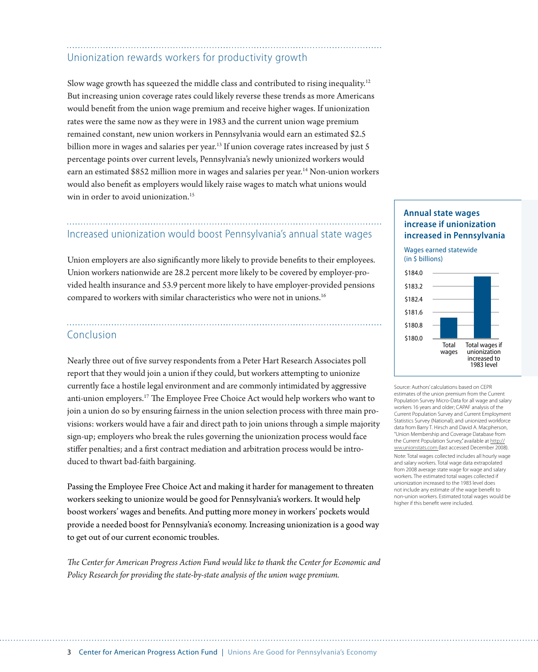## Unionization rewards workers for productivity growth

Slow wage growth has squeezed the middle class and contributed to rising inequality.12 But increasing union coverage rates could likely reverse these trends as more Americans would benefit from the union wage premium and receive higher wages. If unionization rates were the same now as they were in 1983 and the current union wage premium remained constant, new union workers in Pennsylvania would earn an estimated \$2.5 billion more in wages and salaries per year.<sup>13</sup> If union coverage rates increased by just 5 percentage points over current levels, Pennsylvania's newly unionized workers would earn an estimated \$852 million more in wages and salaries per year.14 Non-union workers would also benefit as employers would likely raise wages to match what unions would win in order to avoid unionization.<sup>15</sup>

#### Increased unionization would boost Pennsylvania's annual state wages

Union employers are also significantly more likely to provide benefits to their employees. Union workers nationwide are 28.2 percent more likely to be covered by employer-provided health insurance and 53.9 percent more likely to have employer-provided pensions compared to workers with similar characteristics who were not in unions.<sup>16</sup>

#### Conclusion

Nearly three out of five survey respondents from a Peter Hart Research Associates poll report that they would join a union if they could, but workers attempting to unionize currently face a hostile legal environment and are commonly intimidated by aggressive anti-union employers.17 The Employee Free Choice Act would help workers who want to join a union do so by ensuring fairness in the union selection process with three main provisions: workers would have a fair and direct path to join unions through a simple majority sign-up; employers who break the rules governing the unionization process would face stiffer penalties; and a first contract mediation and arbitration process would be introduced to thwart bad-faith bargaining.

Passing the Employee Free Choice Act and making it harder for management to threaten workers seeking to unionize would be good for Pennsylvania's workers. It would help boost workers' wages and benefits. And putting more money in workers' pockets would provide a needed boost for Pennsylvania's economy. Increasing unionization is a good way to get out of our current economic troubles.

*The Center for American Progress Action Fund would like to thank the Center for Economic and Policy Research for providing the state-by-state analysis of the union wage premium.*

#### **Annual state wages increase if unionization increased in Pennsylvania**

Wages earned statewide (in \$ billions)



Source: Authors' calculations based on CEPR estimates of the union premium from the Current Population Survey Micro-Data for all wage and salary workers 16 years and older; CAPAF analysis of the Current Population Survey and Current Employment Statistics Survey (National); and unionized workforce data from Barry T. Hirsch and David A. Macpherson, "Union Membership and Coverage Database from the Current Population Survey," available at http:// ww.unionstats.com (last accessed December 2008). Note: Total wages collected includes all hourly wage

and salary workers. Total wage data extrapolated from 2008 average state wage for wage and salary workers. The estimated total wages collected if unionization increased to the 1983 level does not include any estimate of the wage benefit to non-union workers. Estimated total wages would be higher if this benefit were included.